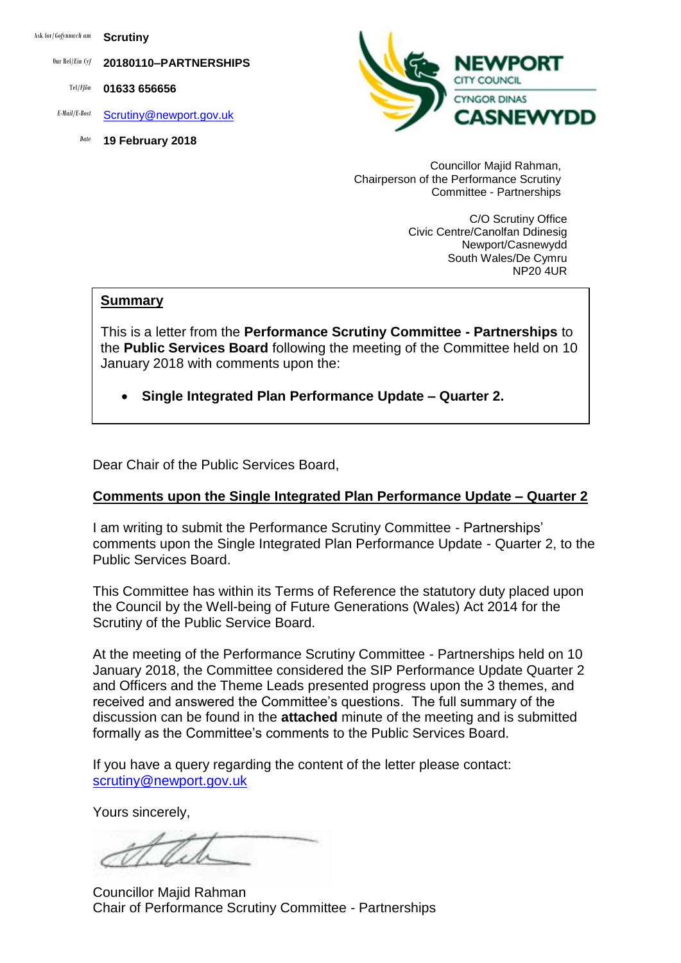Ask for/*Gofynnwch am* **Scrutiny**

Our Ref/*Ein Cyf* **20180110–PARTNERSHIPS**

Tel/*Ffôn* **01633 656656**

- *E-Mail/E-Bost* [Scrutiny@newport.gov.uk](mailto:Scrutiny@newport.gov.uk)
	- *Date* **19 February 2018**



Councillor Majid Rahman, Chairperson of the Performance Scrutiny Committee - Partnerships

> C/O Scrutiny Office Civic Centre/Canolfan Ddinesig Newport/Casnewydd South Wales/De Cymru NP20 4UR

#### **Summary**

This is a letter from the **Performance Scrutiny Committee - Partnerships** to the **Public Services Board** following the meeting of the Committee held on 10 January 2018 with comments upon the:

**Single Integrated Plan Performance Update – Quarter 2.**

Dear Chair of the Public Services Board,

### **Comments upon the Single Integrated Plan Performance Update – Quarter 2**

I am writing to submit the Performance Scrutiny Committee - Partnerships' comments upon the Single Integrated Plan Performance Update - Quarter 2, to the Public Services Board.

This Committee has within its Terms of Reference the statutory duty placed upon the Council by the Well-being of Future Generations (Wales) Act 2014 for the Scrutiny of the Public Service Board.

At the meeting of the Performance Scrutiny Committee - Partnerships held on 10 January 2018, the Committee considered the SIP Performance Update Quarter 2 and Officers and the Theme Leads presented progress upon the 3 themes, and received and answered the Committee's questions. The full summary of the discussion can be found in the **attached** minute of the meeting and is submitted formally as the Committee's comments to the Public Services Board.

If you have a query regarding the content of the letter please contact: [scrutiny@newport.gov.uk](mailto:scrutiny@newport.gov.uk)

Yours sincerely,

Councillor Majid Rahman Chair of Performance Scrutiny Committee - Partnerships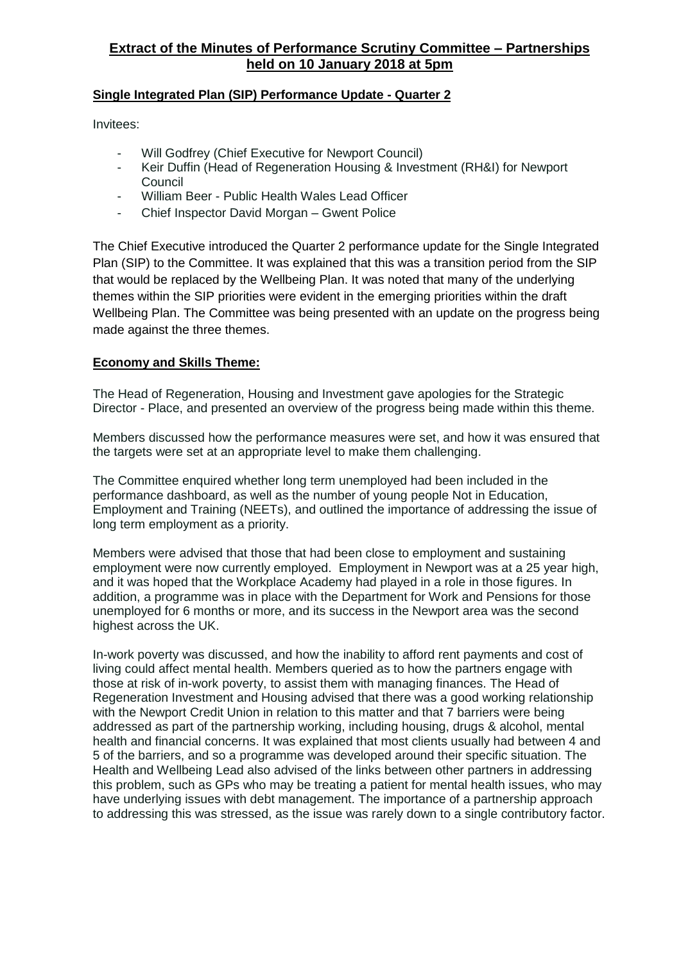# **Extract of the Minutes of Performance Scrutiny Committee – Partnerships held on 10 January 2018 at 5pm**

### **Single Integrated Plan (SIP) Performance Update - Quarter 2**

Invitees:

- Will Godfrey (Chief Executive for Newport Council)
- Keir Duffin (Head of Regeneration Housing & Investment (RH&I) for Newport Council
- William Beer Public Health Wales Lead Officer
- Chief Inspector David Morgan Gwent Police

The Chief Executive introduced the Quarter 2 performance update for the Single Integrated Plan (SIP) to the Committee. It was explained that this was a transition period from the SIP that would be replaced by the Wellbeing Plan. It was noted that many of the underlying themes within the SIP priorities were evident in the emerging priorities within the draft Wellbeing Plan. The Committee was being presented with an update on the progress being made against the three themes.

### **Economy and Skills Theme:**

The Head of Regeneration, Housing and Investment gave apologies for the Strategic Director - Place, and presented an overview of the progress being made within this theme.

Members discussed how the performance measures were set, and how it was ensured that the targets were set at an appropriate level to make them challenging.

The Committee enquired whether long term unemployed had been included in the performance dashboard, as well as the number of young people Not in Education, Employment and Training (NEETs), and outlined the importance of addressing the issue of long term employment as a priority.

Members were advised that those that had been close to employment and sustaining employment were now currently employed. Employment in Newport was at a 25 year high, and it was hoped that the Workplace Academy had played in a role in those figures. In addition, a programme was in place with the Department for Work and Pensions for those unemployed for 6 months or more, and its success in the Newport area was the second highest across the UK.

In-work poverty was discussed, and how the inability to afford rent payments and cost of living could affect mental health. Members queried as to how the partners engage with those at risk of in-work poverty, to assist them with managing finances. The Head of Regeneration Investment and Housing advised that there was a good working relationship with the Newport Credit Union in relation to this matter and that 7 barriers were being addressed as part of the partnership working, including housing, drugs & alcohol, mental health and financial concerns. It was explained that most clients usually had between 4 and 5 of the barriers, and so a programme was developed around their specific situation. The Health and Wellbeing Lead also advised of the links between other partners in addressing this problem, such as GPs who may be treating a patient for mental health issues, who may have underlying issues with debt management. The importance of a partnership approach to addressing this was stressed, as the issue was rarely down to a single contributory factor.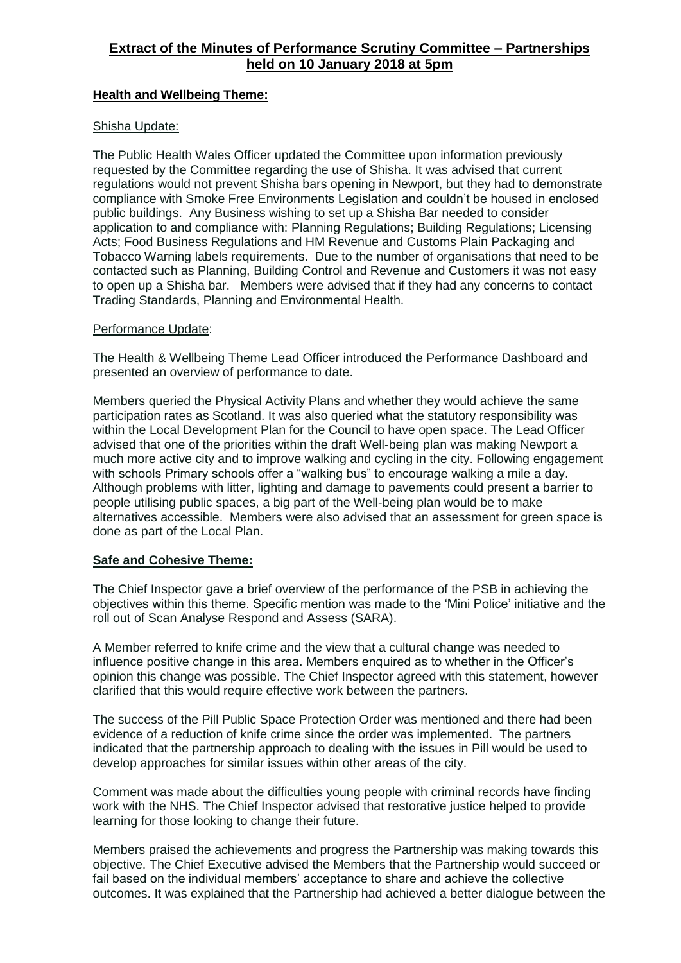## **Extract of the Minutes of Performance Scrutiny Committee – Partnerships held on 10 January 2018 at 5pm**

### **Health and Wellbeing Theme:**

### Shisha Update:

The Public Health Wales Officer updated the Committee upon information previously requested by the Committee regarding the use of Shisha. It was advised that current regulations would not prevent Shisha bars opening in Newport, but they had to demonstrate compliance with Smoke Free Environments Legislation and couldn't be housed in enclosed public buildings. Any Business wishing to set up a Shisha Bar needed to consider application to and compliance with: Planning Regulations; Building Regulations; Licensing Acts; Food Business Regulations and HM Revenue and Customs Plain Packaging and Tobacco Warning labels requirements. Due to the number of organisations that need to be contacted such as Planning, Building Control and Revenue and Customers it was not easy to open up a Shisha bar. Members were advised that if they had any concerns to contact Trading Standards, Planning and Environmental Health.

#### Performance Update:

The Health & Wellbeing Theme Lead Officer introduced the Performance Dashboard and presented an overview of performance to date.

Members queried the Physical Activity Plans and whether they would achieve the same participation rates as Scotland. It was also queried what the statutory responsibility was within the Local Development Plan for the Council to have open space. The Lead Officer advised that one of the priorities within the draft Well-being plan was making Newport a much more active city and to improve walking and cycling in the city. Following engagement with schools Primary schools offer a "walking bus" to encourage walking a mile a day. Although problems with litter, lighting and damage to pavements could present a barrier to people utilising public spaces, a big part of the Well-being plan would be to make alternatives accessible. Members were also advised that an assessment for green space is done as part of the Local Plan.

### **Safe and Cohesive Theme:**

The Chief Inspector gave a brief overview of the performance of the PSB in achieving the objectives within this theme. Specific mention was made to the 'Mini Police' initiative and the roll out of Scan Analyse Respond and Assess (SARA).

A Member referred to knife crime and the view that a cultural change was needed to influence positive change in this area. Members enquired as to whether in the Officer's opinion this change was possible. The Chief Inspector agreed with this statement, however clarified that this would require effective work between the partners.

The success of the Pill Public Space Protection Order was mentioned and there had been evidence of a reduction of knife crime since the order was implemented. The partners indicated that the partnership approach to dealing with the issues in Pill would be used to develop approaches for similar issues within other areas of the city.

Comment was made about the difficulties young people with criminal records have finding work with the NHS. The Chief Inspector advised that restorative justice helped to provide learning for those looking to change their future.

Members praised the achievements and progress the Partnership was making towards this objective. The Chief Executive advised the Members that the Partnership would succeed or fail based on the individual members' acceptance to share and achieve the collective outcomes. It was explained that the Partnership had achieved a better dialogue between the